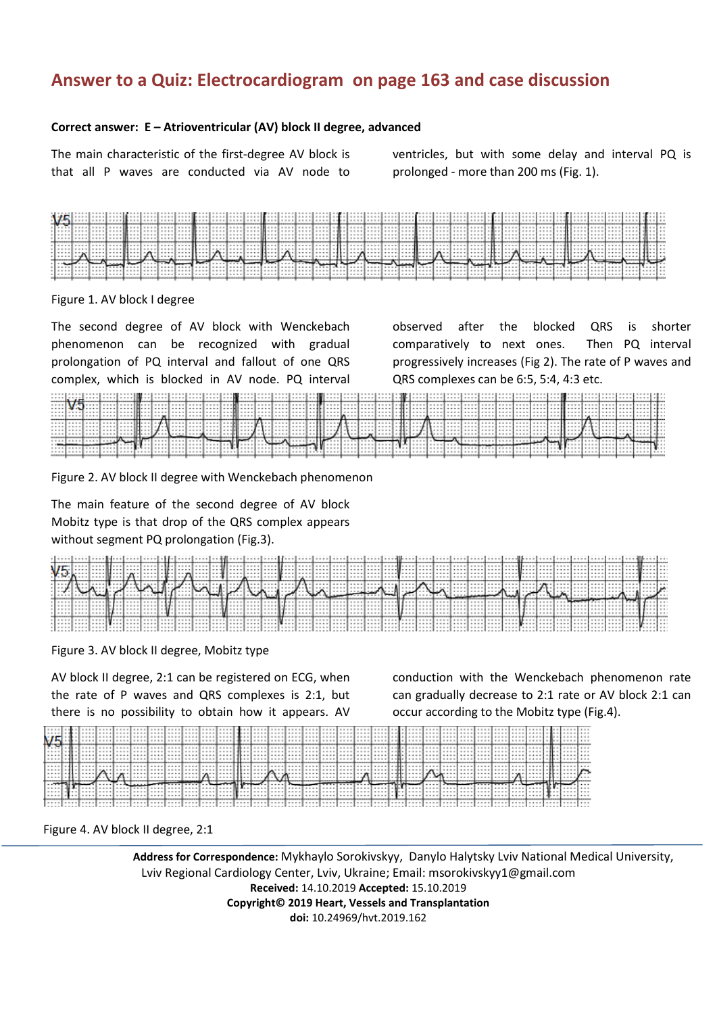## **Answer to a Quiz: Electrocardiogram on page 163 and case discussion**

## **Correct answer: E – Atrioventricular (AV) block II degree, advanced**

The main characteristic of the first-degree AV block is that all P waves are conducted via AV node to ventricles, but with some delay and interval PQ is prolonged - more than 200 ms (Fig. 1).

| V5l |  |                                                                                                                  |  |  |  |  |  |  |  |  |  |  |  |  |  |  |  |  |
|-----|--|------------------------------------------------------------------------------------------------------------------|--|--|--|--|--|--|--|--|--|--|--|--|--|--|--|--|
| .   |  |                                                                                                                  |  |  |  |  |  |  |  |  |  |  |  |  |  |  |  |  |
|     |  | المساوي المتعارض المستخرج والمساوي والمساوي المساوية والمستخرج والمستخرج والمستخرج والمستخرج والمستخرج والمستخرج |  |  |  |  |  |  |  |  |  |  |  |  |  |  |  |  |

Figure 1. AV block I degree

The second degree of AV block with Wenckebach phenomenon can be recognized with gradual prolongation of PQ interval and fallout of one QRS complex, which is blocked in AV node. PQ interval observed after the blocked QRS is shorter comparatively to next ones. Then PQ interval progressively increases (Fig 2). The rate of P waves and QRS complexes can be 6:5, 5:4, 4:3 etc.

|  |  |  |  |  |  |  |  |  |  | <b>The final contract of the contract of the contract of the contract of the contract of the contract of the contract of the contract of the contract of the contract of the contract of the contract of the contract of the con</b> |  |  |  |  |  |  |  |
|--|--|--|--|--|--|--|--|--|--|--------------------------------------------------------------------------------------------------------------------------------------------------------------------------------------------------------------------------------------|--|--|--|--|--|--|--|
|  |  |  |  |  |  |  |  |  |  |                                                                                                                                                                                                                                      |  |  |  |  |  |  |  |
|  |  |  |  |  |  |  |  |  |  |                                                                                                                                                                                                                                      |  |  |  |  |  |  |  |
|  |  |  |  |  |  |  |  |  |  |                                                                                                                                                                                                                                      |  |  |  |  |  |  |  |
|  |  |  |  |  |  |  |  |  |  |                                                                                                                                                                                                                                      |  |  |  |  |  |  |  |
|  |  |  |  |  |  |  |  |  |  |                                                                                                                                                                                                                                      |  |  |  |  |  |  |  |

Figure 2. AV block II degree with Wenckebach phenomenon

The main feature of the second degree of AV block Mobitz type is that drop of the QRS complex appears without segment PQ prolongation (Fig.3).

| <b>NIL</b> |  |               |   |  |                                         |  |                                                                         |  |   |  |  |  |                |  |  |                     |  |  |  |  |
|------------|--|---------------|---|--|-----------------------------------------|--|-------------------------------------------------------------------------|--|---|--|--|--|----------------|--|--|---------------------|--|--|--|--|
|            |  | بطوطاء إنتددت | . |  | <br>الملاحظة والمتحافظ المتمرا المراقبة |  | وتتميز المتناول ومحارب تناولوهم فتنت التنازل الإلا الالتنائية فالتنائية |  | . |  |  |  | . <del>.</del> |  |  | $1 - 1 - 1 - 1 - 1$ |  |  |  |  |
|            |  |               |   |  |                                         |  |                                                                         |  |   |  |  |  |                |  |  |                     |  |  |  |  |
|            |  |               |   |  |                                         |  |                                                                         |  |   |  |  |  |                |  |  |                     |  |  |  |  |

Figure 3. AV block II degree, Mobitz type

AV block II degree, 2:1 can be registered on ECG, when the rate of P waves and QRS complexes is 2:1, but there is no possibility to obtain how it appears. AV conduction with the Wenckebach phenomenon rate can gradually decrease to 2:1 rate or AV block 2:1 can occur according to the Mobitz type (Fig.4).

| $-$ |  |  | ---- |  |  |  |  |  |  |  | . |             |  |  |  |  |   |
|-----|--|--|------|--|--|--|--|--|--|--|---|-------------|--|--|--|--|---|
|     |  |  |      |  |  |  |  |  |  |  |   | ----------- |  |  |  |  | . |
|     |  |  |      |  |  |  |  |  |  |  |   |             |  |  |  |  |   |

Figure 4. AV block II degree, 2:1

**Address for Correspondence:** Mykhaylo Sorokivskyy, Danylo Halytsky Lviv National Medical University, Lviv Regional Cardiology Center, Lviv, Ukraine; Email: msorokivskyy1@gmail.com **Received:** 14.10.2019 **Accepted:** 15.10.2019 **Copyright© 2019 Heart, Vessels and Transplantation doi:** 10.24969/hvt.2019.162